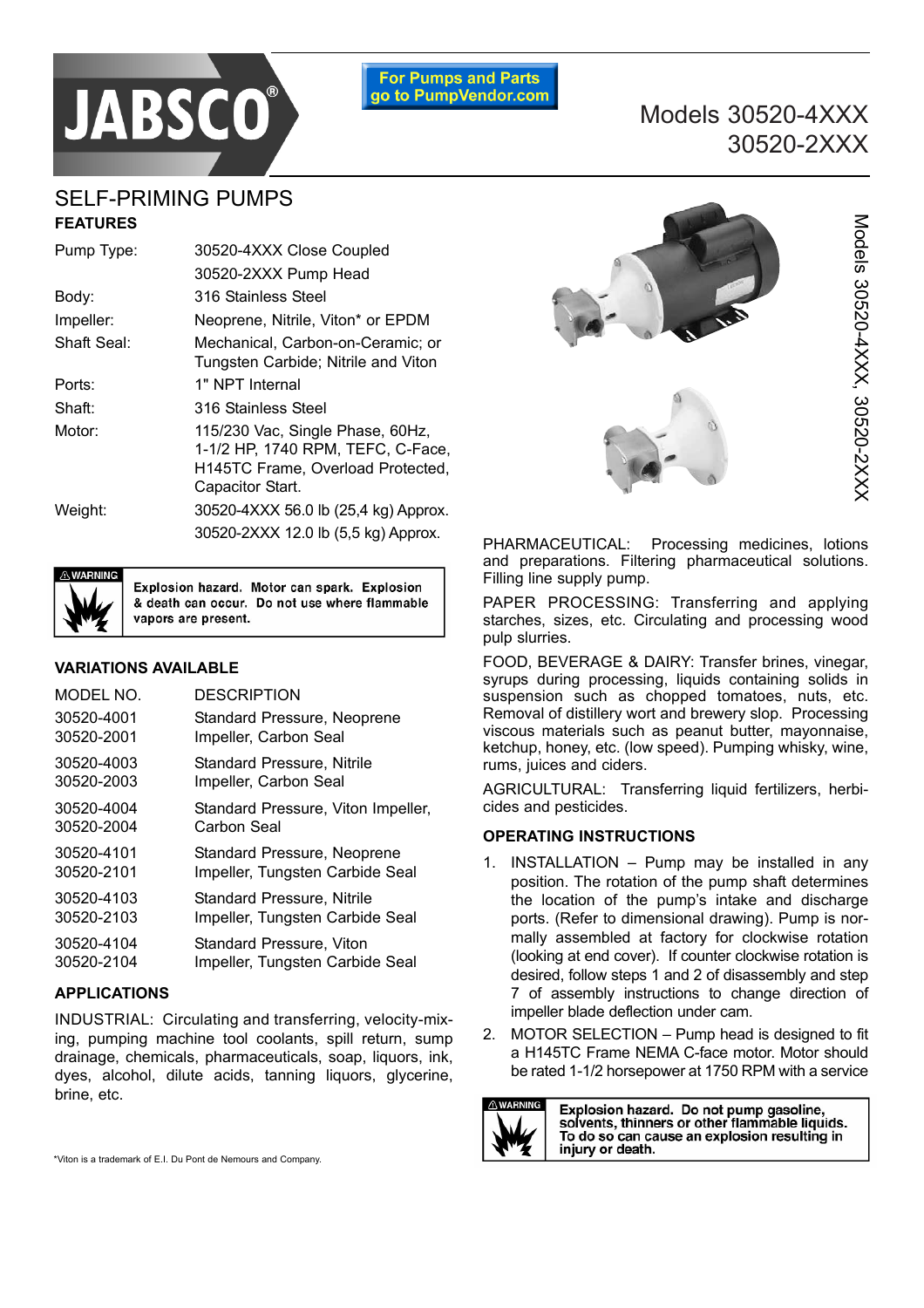



Models 30520-4XXX, 30520-2XXX

# SELF-PRIMING PUMPS **FEATURES**

| Pump Type:  | 30520-4XXX Close Coupled                                                                                                       |  |  |  |
|-------------|--------------------------------------------------------------------------------------------------------------------------------|--|--|--|
|             | 30520-2XXX Pump Head                                                                                                           |  |  |  |
| Body:       | 316 Stainless Steel                                                                                                            |  |  |  |
| Impeller:   | Neoprene, Nitrile, Viton* or EPDM                                                                                              |  |  |  |
| Shaft Seal: | Mechanical, Carbon-on-Ceramic; or<br>Tungsten Carbide; Nitrile and Viton                                                       |  |  |  |
| Ports:      | 1" NPT Internal                                                                                                                |  |  |  |
| Shaft:      | 316 Stainless Steel                                                                                                            |  |  |  |
| Motor:      | 115/230 Vac, Single Phase, 60Hz,<br>1-1/2 HP, 1740 RPM, TEFC, C-Face,<br>H145TC Frame, Overload Protected,<br>Capacitor Start. |  |  |  |
| Weight:     | 30520-4XXX 56.0 lb (25,4 kg) Approx.                                                                                           |  |  |  |
|             | 30520-2XXX 12.0 lb (5,5 kg) Approx.                                                                                            |  |  |  |



Explosion hazard. Motor can spark. Explosion & death can occur. Do not use where flammable vapors are present.

### **VARIATIONS AVAILABLE**

| MODEL NO.  | <b>DESCRIPTION</b>                 |
|------------|------------------------------------|
| 30520-4001 | Standard Pressure, Neoprene        |
| 30520-2001 | Impeller, Carbon Seal              |
| 30520-4003 | <b>Standard Pressure, Nitrile</b>  |
| 30520-2003 | Impeller, Carbon Seal              |
| 30520-4004 | Standard Pressure, Viton Impeller, |
| 30520-2004 | Carbon Seal                        |
| 30520-4101 | Standard Pressure, Neoprene        |
| 30520-2101 | Impeller, Tungsten Carbide Seal    |
| 30520-4103 | <b>Standard Pressure, Nitrile</b>  |
| 30520-2103 | Impeller, Tungsten Carbide Seal    |
| 30520-4104 | Standard Pressure, Viton           |
| 30520-2104 | Impeller, Tungsten Carbide Seal    |

### **APPLICATIONS**

INDUSTRIAL: Circulating and transferring, velocity-mixing, pumping machine tool coolants, spill return, sump drainage, chemicals, pharmaceuticals, soap, liquors, ink, dyes, alcohol, dilute acids, tanning liquors, glycerine, brine, etc.



PHARMACEUTICAL: Processing medicines, lotions and preparations. Filtering pharmaceutical solutions. Filling line supply pump.

PAPER PROCESSING: Transferring and applying starches, sizes, etc. Circulating and processing wood pulp slurries.

FOOD, BEVERAGE & DAIRY: Transfer brines, vinegar, syrups during processing, liquids containing solids in suspension such as chopped tomatoes, nuts, etc. Removal of distillery wort and brewery slop. Processing viscous materials such as peanut butter, mayonnaise, ketchup, honey, etc. (low speed). Pumping whisky, wine, rums, juices and ciders.

AGRICULTURAL: Transferring liquid fertilizers, herbicides and pesticides.

### **OPERATING INSTRUCTIONS**

- 1. INSTALLATION Pump may be installed in any position. The rotation of the pump shaft determines the location of the pump's intake and discharge ports. (Refer to dimensional drawing). Pump is normally assembled at factory for clockwise rotation (looking at end cover). If counter clockwise rotation is desired, follow steps 1 and 2 of disassembly and step 7 of assembly instructions to change direction of impeller blade deflection under cam.
- 2. MOTOR SELECTION Pump head is designed to fit a H145TC Frame NEMA C-face motor. Motor should be rated 1-1/2 horsepower at 1750 RPM with a service



Explosion hazard. Do not pump gasoline, solvents, thinners or other flammable liquids. To do so can cause an explosion resulting in injury or death.

\*Viton is a trademark of E.I. Du Pont de Nemours and Company.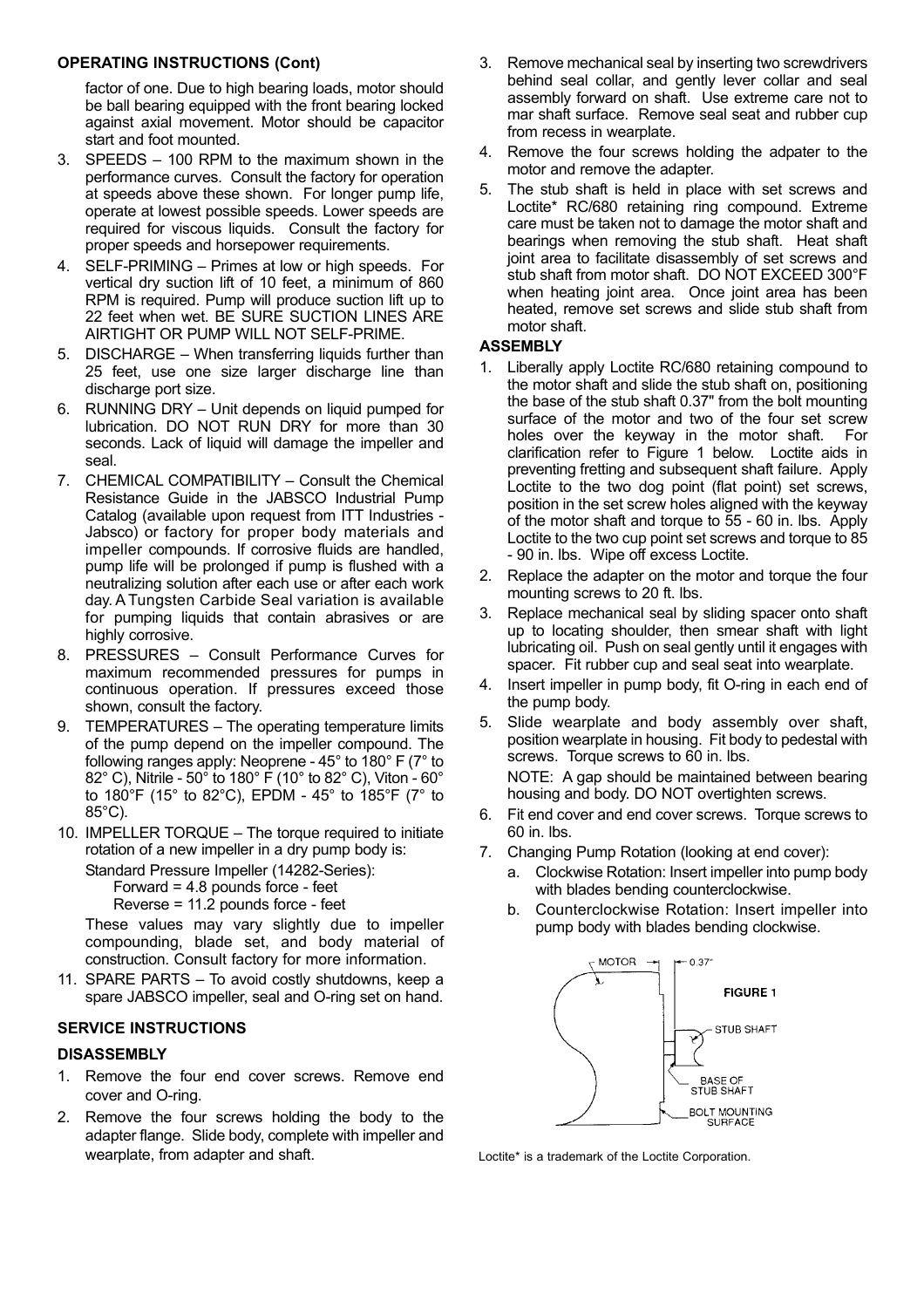#### **OPERATING INSTRUCTIONS (Cont)**

factor of one. Due to high bearing loads, motor should be ball bearing equipped with the front bearing locked against axial movement. Motor should be capacitor start and foot mounted.

- 3. SPEEDS 100 RPM to the maximum shown in the performance curves. Consult the factory for operation at speeds above these shown. For longer pump life, operate at lowest possible speeds. Lower speeds are required for viscous liquids. Consult the factory for proper speeds and horsepower requirements.
- 4. SELF-PRIMING Primes at low or high speeds. For vertical dry suction lift of 10 feet, a minimum of 860 RPM is required. Pump will produce suction lift up to 22 feet when wet. BE SURE SUCTION LINES ARE AIRTIGHT OR PUMP WILL NOT SELF-PRIME.
- 5. DISCHARGE When transferring liquids further than 25 feet, use one size larger discharge line than discharge port size.
- 6. RUNNING DRY Unit depends on liquid pumped for lubrication. DO NOT RUN DRY for more than 30 seconds. Lack of liquid will damage the impeller and seal.
- 7. CHEMICAL COMPATIBILITY Consult the Chemical Resistance Guide in the JABSCO Industrial Pump Catalog (available upon request from ITT Industries - Jabsco) or factory for proper body materials and impeller compounds. If corrosive fluids are handled, pump life will be prolonged if pump is flushed with a neutralizing solution after each use or after each work day. A Tungsten Carbide Seal variation is available for pumping liquids that contain abrasives or are highly corrosive.
- 8. PRESSURES Consult Performance Curves for maximum recommended pressures for pumps in continuous operation. If pressures exceed those shown, consult the factory.
- 9. TEMPERATURES The operating temperature limits of the pump depend on the impeller compound. The following ranges apply: Neoprene - 45° to 180° F (7° to 82° C), Nitrile - 50° to 180° F (10° to 82° C), Viton - 60° to 180°F (15° to 82°C), EPDM - 45° to 185°F (7° to 85°C).
- 10. IMPELLER TORQUE The torque required to initiate rotation of a new impeller in a dry pump body is:

Standard Pressure Impeller (14282-Series): Forward  $= 4.8$  pounds force - feet Reverse = 11.2 pounds force - feet

These values may vary slightly due to impeller compounding, blade set, and body material of construction. Consult factory for more information.

11. SPARE PARTS – To avoid costly shutdowns, keep a spare JABSCO impeller, seal and O-ring set on hand.

### **SERVICE INSTRUCTIONS**

#### **DISASSEMBLY**

- 1. Remove the four end cover screws. Remove end cover and O-ring.
- 2. Remove the four screws holding the body to the adapter flange. Slide body, complete with impeller and wearplate, from adapter and shaft. The state of the Loctite\* is a trademark of the Loctite Corporation.
- 3. Remove mechanical seal by inserting two screwdrivers behind seal collar, and gently lever collar and seal assembly forward on shaft. Use extreme care not to mar shaft surface. Remove seal seat and rubber cup from recess in wearplate.
- 4. Remove the four screws holding the adpater to the motor and remove the adapter.
- 5. The stub shaft is held in place with set screws and Loctite\* RC/680 retaining ring compound. Extreme care must be taken not to damage the motor shaft and bearings when removing the stub shaft. Heat shaft joint area to facilitate disassembly of set screws and stub shaft from motor shaft. DO NOT EXCEED 300°F when heating joint area. Once joint area has been heated, remove set screws and slide stub shaft from motor shaft.

#### **ASSEMBLY**

- 1. Liberally apply Loctite RC/680 retaining compound to the motor shaft and slide the stub shaft on, positioning the base of the stub shaft 0.37" from the bolt mounting surface of the motor and two of the four set screw holes over the keyway in the motor shaft. For clarification refer to Figure 1 below. Loctite aids in preventing fretting and subsequent shaft failure. Apply Loctite to the two dog point (flat point) set screws, position in the set screw holes aligned with the keyway of the motor shaft and torque to 55 - 60 in. lbs. Apply Loctite to the two cup point set screws and torque to 85 - 90 in. lbs. Wipe off excess Loctite.
- 2. Replace the adapter on the motor and torque the four mounting screws to 20 ft. lbs.
- 3. Replace mechanical seal by sliding spacer onto shaft up to locating shoulder, then smear shaft with light lubricating oil. Push on seal gently until it engages with spacer. Fit rubber cup and seal seat into wearplate.
- 4. Insert impeller in pump body, fit O-ring in each end of the pump body.
- 5. Slide wearplate and body assembly over shaft, position wearplate in housing. Fit body to pedestal with screws. Torque screws to 60 in. lbs.

NOTE: A gap should be maintained between bearing housing and body. DO NOT overtighten screws.

- 6. Fit end cover and end cover screws. Torque screws to 60 in. lbs.
- 7. Changing Pump Rotation (looking at end cover):
	- a. Clockwise Rotation: Insert impeller into pump body with blades bending counterclockwise.
	- b. Counterclockwise Rotation: Insert impeller into pump body with blades bending clockwise.

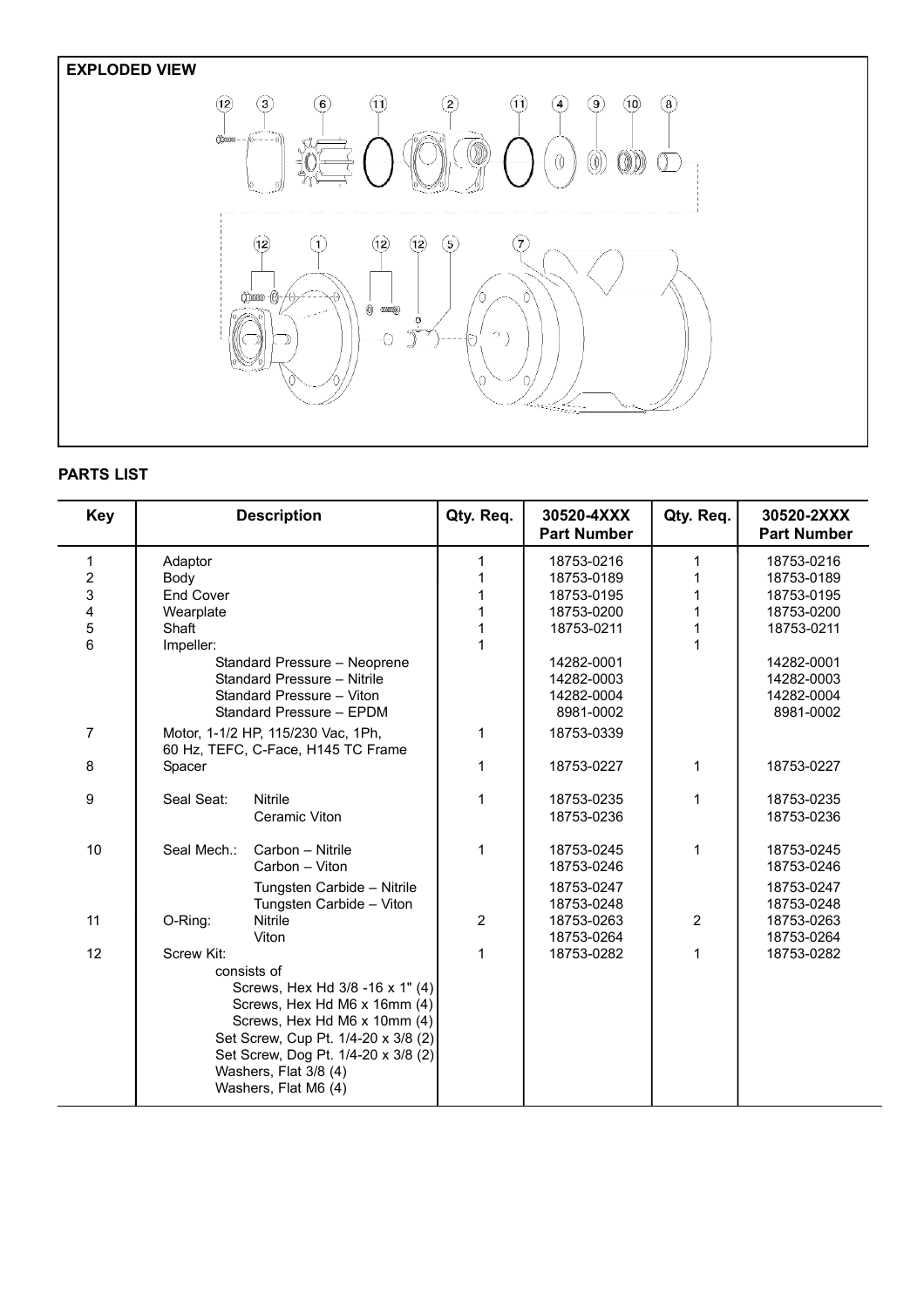# **EXPLODED VIEW**



## **PARTS LIST**

| <b>Key</b>                                           |                                                                                                                                                                                                                                                             | <b>Description</b>                                               | Qty. Req.        | 30520-4XXX<br><b>Part Number</b>                                                               | Qty. Req.                  | 30520-2XXX<br><b>Part Number</b>                                                               |
|------------------------------------------------------|-------------------------------------------------------------------------------------------------------------------------------------------------------------------------------------------------------------------------------------------------------------|------------------------------------------------------------------|------------------|------------------------------------------------------------------------------------------------|----------------------------|------------------------------------------------------------------------------------------------|
| $\mathbf{1}$<br>$\boldsymbol{2}$<br>3<br>4<br>5<br>6 | Adaptor<br>Body<br><b>End Cover</b><br>Wearplate<br>Shaft<br>Impeller:                                                                                                                                                                                      | Standard Pressure - Neoprene<br>Standard Pressure - Nitrile      | 1<br>1<br>1<br>1 | 18753-0216<br>18753-0189<br>18753-0195<br>18753-0200<br>18753-0211<br>14282-0001<br>14282-0003 | 1<br>1<br>1<br>1<br>1<br>1 | 18753-0216<br>18753-0189<br>18753-0195<br>18753-0200<br>18753-0211<br>14282-0001<br>14282-0003 |
|                                                      | Standard Pressure - Viton<br>Standard Pressure - EPDM                                                                                                                                                                                                       |                                                                  |                  | 14282-0004<br>8981-0002                                                                        |                            | 14282-0004<br>8981-0002                                                                        |
| $\overline{7}$                                       | Motor, 1-1/2 HP, 115/230 Vac, 1Ph,<br>60 Hz, TEFC, C-Face, H145 TC Frame                                                                                                                                                                                    |                                                                  | 1                | 18753-0339                                                                                     |                            |                                                                                                |
| 8                                                    | Spacer                                                                                                                                                                                                                                                      |                                                                  | $\mathbf{1}$     | 18753-0227                                                                                     | 1                          | 18753-0227                                                                                     |
| 9                                                    | Seal Seat:                                                                                                                                                                                                                                                  | <b>Nitrile</b><br>Ceramic Viton                                  | 1                | 18753-0235<br>18753-0236                                                                       | 1                          | 18753-0235<br>18753-0236                                                                       |
| 10                                                   | Seal Mech.:                                                                                                                                                                                                                                                 | Carbon - Nitrile<br>Carbon - Viton<br>Tungsten Carbide - Nitrile | 1                | 18753-0245<br>18753-0246<br>18753-0247                                                         | 1                          | 18753-0245<br>18753-0246<br>18753-0247                                                         |
| 11                                                   | O-Ring:                                                                                                                                                                                                                                                     | Tungsten Carbide - Viton<br><b>Nitrile</b><br>Viton              | $\overline{2}$   | 18753-0248<br>18753-0263<br>18753-0264                                                         | $\overline{2}$             | 18753-0248<br>18753-0263<br>18753-0264                                                         |
| 12                                                   | Screw Kit:<br>consists of<br>Screws, Hex Hd 3/8 -16 x 1" (4)<br>Screws, Hex Hd M6 x 16mm (4)<br>Screws, Hex Hd M6 x 10mm (4)<br>Set Screw, Cup Pt. 1/4-20 x 3/8 (2)<br>Set Screw, Dog Pt. 1/4-20 x 3/8 (2)<br>Washers, Flat 3/8 (4)<br>Washers, Flat M6 (4) |                                                                  | $\mathbf{1}$     | 18753-0282                                                                                     | 1                          | 18753-0282                                                                                     |